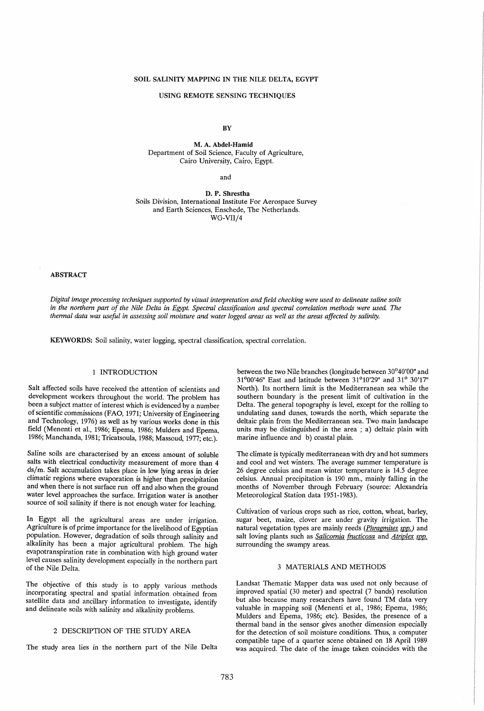# SOIL SALINITY MAPPING IN THE NILE DELTA, EGYPT

#### USING REMOTE SENSING TECHNIQUES

**BY** 

M. A. Abdel-Hamid Department of Soil Science, Faculty of Agriculture, Cairo University, Cairo, Egypt.

and

D. P. Shrestha Soils Division, International Institute For Aerospace Survey and Earth Sciences, Enschede, The Netherlands. WG-VII/4

#### ABSTRACT

*Digital image processing techniques supported* by *visual interpretation and field checking were used to delineate saline soils in the northern part of the Nile Delta in Egypt. Spectral classification and spectral correlation methods were used. The thermal data was useful in assessing soil moisture and water logged areas as well as the areas affected* by *salinity.* 

KEYWORDS: Soil salinity, water logging, spectral classification, spectral correlation.

# 1 INTRODUCTION

Salt affected soils have received the attention of scientists and development workers throughout the world. The problem has been a subject matter of interest which is evidenced by a number of scientific commissions (FAO, 1971; University of Engineering and Technology, 1976) as well as by various works done in this field (Menenti et aI., 1986; Epema, 1986; Mulders and Epema, 1986; Manchanda, 1981; Tricatsoula, 1988; Massoud, 1977; etc.).

Saline soils are characterised by an excess amount of soluble salts with electrical conductivity measurement of more than 4 ds/m. Salt accumulation takes place in low lying areas in drier climatic regions where evaporation is higher than precipitation and when there is not surface run off and also when the ground water level approaches the surface. Irrigation water is another source of soil salinity if there is not enough water for leaching.

In Egypt all the agricultural areas are under irrigation. Agriculture is of prime importance for the livelihood of Egyptian population. However, degradation of soils through salinity and alkalinity has been a major agricultural problem. The high evapotranspiration rate in combination with high ground water level causes salinity development especially in the northern part of the Nile Delta.

The objective of this study is to apply various methods incorporating spectral and spatial information obtained from satellite data and ancillary information to investigate, identify and delineate soils with salinity and alkalinity problems.

# 2 DESCRIPTION OF THE STUDY AREA

The study area lies in the northern part of the Nile Delta

between the two Nile branches (longitude between 30°40'00" and 31°00'46" East and latitude between 31°10'29" and 31° 30'17" North). Its northern limit is the Mediterranean sea while the southern boundary is the present limit of cultivation in the Delta. The general topography is level, except for the rolling to undulating sand dunes, towards the north, which separate the deltaic plain from the Mediterranean sea. Two main landscape units may be distinguished in the area ; a) deltaic plain with marine influence and b) coastal plain.

The climate is typically mediterranean with dry and hot summers and cool and wet winters. The average summer temperature is 26 degree celsius and mean winter temperature is 14.5 degree celsius. Annual precipitation is 190 mm., mainly falling in the months of November through February (source: Alexandria Meteorological Station data 1951-1983).

Cultivation of various crops such as rice, cotton, wheat, barley, sugar beet, maize, clover are under gravity irrigation. The natural vegetation types are mainly reeds (*Phragmites spp.*) and salt loving plants such as *Salicornia fructicosa* and *Atriplex spp.* surrounding the swampy areas.

# 3 MATERIALS AND METHODS

Landsat Thematic Mapper data was used not only because of improved spatial (30 meter) and spectral (7 bands) resolution but also because many researchers have found TM data very valuable in mapping soil (Menenti et ai., 1986; Epema, 1986; Mulders and Epema, 1986; etc). Besides, the presence of a thermal band in the sensor gives another dimension especially for the detection of soil moisture conditions. Thus, a computer compatible tape of a quarter scene obtained on 18 April 1989 was acquired. The date of the image taken coincides with the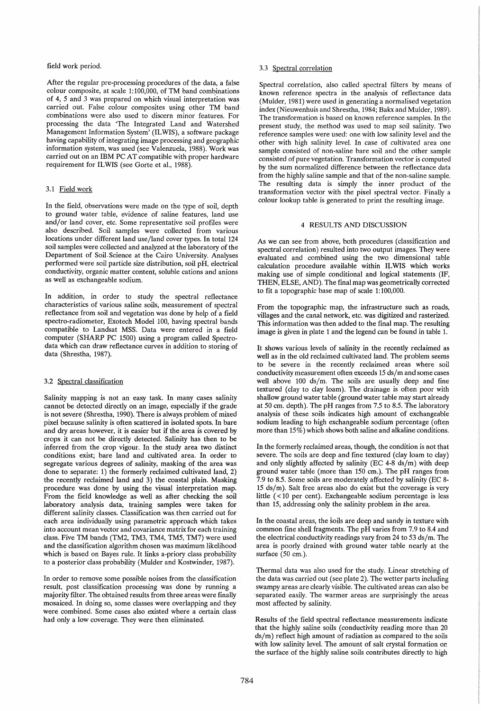#### field work period.

After the regular pre-processing procedures of the data, a false colour composite, at scale 1:100,000, of TM band combinations of 4, 5 and 3 was prepared on which visual interpretation was carried out. False colour composites using other TM band combinations were also used to discern minor features. For processing the data 'The Integrated Land and Watershed Management Information System' (ILWIS), a software package having capability of integrating image processing and geographic information system, was used (see Valenzuela, 1988). Work was carried out on an IBM PC AT compatible with proper hardware requirement for ILWIS (see Gorte et al., 1988).

#### 3.1 Field work

In the field, observations were made on the type of soil, depth to ground water table, evidence of saline features, land use and/or land cover, etc. Some representative soil profiles were also described. Soil samples were collected from various locations under different land use/land cover types. In total 124 soil samples were collected and analyzed at the laboratory of the Department of Soil.Science at the Cairo University. Analyses performed were soil particle size distribution, soil pH, electrical conductivity, organic matter content, soluble cations and anions as well as exchangeable sodium.

In addition, in order to study the spectral reflectance characteristics of various saline soils, measurement of spectral reflectance from soil and vegetation was done by help of'a field spectro-radiometer, Exotech Model 100, having spectral bands compatible to Landsat MSS. Data were entered in a field computer (SHARP PC 1500) using a program called Spectrodata which can draw reflectance curves in addition to storing of data (Shrestha, 1987).

#### 3.2 Spectral classification

Salinity mapping is not an easy task. In many cases salinity cannot be detected directly on an image, especially if the grade is not severe (Shrestha, 1990). There is always problem of mixed pixel because salinity is often scattered in isolated spots. In bare and dry areas however, it is easier but if the area is covered by crops it can not be directly detected. Salinity has then to be inferred from the crop vigour. In the study area two distinct conditions exist; bare land and cultivated area. In order to segregate various degrees of salinity, masking of the area was done to separate: 1) the formerly reclaimed cultivated land, 2) the recently reclaimed land and 3) the coastal plain. Masking procedure was done by using the visual interpretation map. From the field knowledge as well as after checking the soil laboratory analysis data, training samples were taken for different salinity classes. Classification was. then carried out for each area individually using parametric approach which takes into account mean vector and covariance matrix for each training class. Five TM bands (TM2, TM3, TM4, TM5, TM7) were used and the classification algorithm chosen was maximum likelihood which is based on Bayes rule. It links a-priory class probability to a posterior class probability (Mulder and Kostwinder, 1987).

In order to remove some possible noises from the classification result, post classification processing was done by running a majority filter. The obtained results from three areas were finally mosaiced. In doing so, some classes were overlapping and they were combined. Some cases also existed where a certain class had only a low coverage. They were then eliminated.

## 3.3 Spectral correlation

Spectral correlation, also called spectral filters by means of known reference spectra in the analysis of reflectance data (Mulder, 1981) were used in generating a normalised vegetation index (Nieuwenhuis and Shrestha, 1984; Bakx and Mulder, 1989). The transformation is based on known reference samples. In the present study, the method was used to map soil salinity. Two reference samples were used: one with low salinity level and the other with high salinity level. In case of cultivated area one sample consisted of non-saline bare soil and the other sample consisted of pure vegetation. Transformation vector is computed by the sum normalized difference between the reflectance data from the highly saline sample and that of the non-saline sample. The resulting data is simply the inner product of the transformation vector with the pixel spectral vector. Finally a colour lookup table is generated to print the resulting image.

# 4 RESULTS AND DISCUSSION

As we can see from above, both procedures (classification and spectral correlation) resulted into two output images. They were evaluated and combined using the two dimensional table calculation procedure available within ILWIS which works making use of simple conditional and logical statements (IF, THEN, ELSE, AND). The final map was geometrically corrected to fit a topographic base map of scale 1:100,000.

From the topographic map, the infrastructure such as roads, villages and the canal network, etc. was digitized and rasterized. This information was then added to the final map. The resulting image is given in plate 1 and the legend can be found in table 1.

It shows various levels of salinity in the recently reclaimed as well as in the old reclaimed cultivated land. The problem seems to be severe in the recently reclaimed areas where soil conductivity measurement often exceeds 15 ds/m and some cases well above 100 ds/m. The soils are usually deep and fine textured (clay to clay loam). The drainage is often poor with shallow ground water table (ground water table may start already at 50 cm. depth). The pH ranges from 7.5 to 8.5. The laboratory analysis of these soils indicates high amount of exchangeable sodium leading to high exchangeable sodium percentage (often more than 15%) which shows both saline and alkaline conditions.

In the formerly reclaimed areas, though, the condition is not that severe. The soils are deep and fine textured (clay loam to clay) and only slightly affected by salinity (EC  $4-8$  ds/m) with deep ground water table (more than 150 cm.). The pH ranges from 7.9 to 8.5. Some soils are moderately affected by salinity (EC 8- 15 ds/m). Salt free areas also do exist but the coverage is very little  $(<$ 10 per cent). Exchangeable sodium percentage is less than 15, addressing only the salinity problem in the area.

In the coastal areas, the soils are deep and sandy in texture with common fine shell fragments. The pH varies from 7.9 to 8.4 and the electrical conductivity readings vary from 24 to 53 ds/m. The area is poorly drained with ground water table nearly at the surface (50 cm.).

Thermal data was also used for the study. Linear stretching of the data was carried out (see plate 2). The wetter parts including swampy areas are clearly visible. The cultivated areas can also be . separated easily. The warmer areas are surprisingly the areas most affected by salinity.

Results of the field spectral reflectance measurements indicate that the highly saline soils (conductivity reading more than 20 ds/m) reflect high amount of radiation as compared to the soils with low salinity level. The amount of salt crystal formation on the surface of the highly saline soils contributes directly to high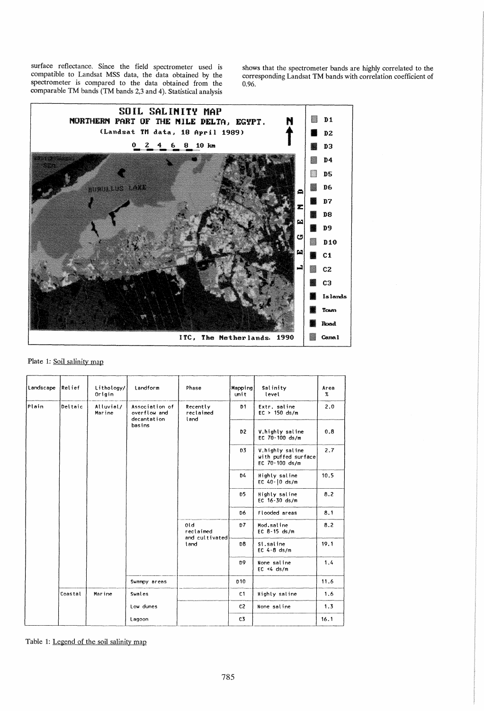surface reflectance. Since the field spectrometer used is compatible to Landsat MSS data, the data obtained by the spectrometer is compared to the data obtained from the comparable TM bands (TM bands 2,3 and 4). Statistical analysis

shows that the spectrometer bands are highly correlated to the corresponding Landsat TM bands with correlation coefficient of  $0.96.$ 



# Plate 1: Soil salinity map

| Landscape | Relief  | Lithology/<br>Origin | Landform                                                | Phase                                          | Mapping<br>unit | Salinity<br>level                                        | Area<br>$\%$ |
|-----------|---------|----------------------|---------------------------------------------------------|------------------------------------------------|-----------------|----------------------------------------------------------|--------------|
| Plain     | Deltaic | Alluvial/<br>Marine  | Association of<br>overflow and<br>decantation<br>basins | Recently<br>reclaimed<br>land                  | D1              | Extr. saline<br>$EC > 150$ ds/m                          | 2.0          |
|           |         |                      |                                                         |                                                | D2              | V.highly saline<br>EC 70-100 ds/m                        | 0.8          |
|           |         |                      |                                                         |                                                | D3              | V.highly saline<br>with puffed surface<br>EC 70-100 ds/m | 2.7          |
|           |         |                      |                                                         |                                                | D4              | Highly saline<br>EC 40-10 ds/m                           | 10.5         |
|           |         |                      |                                                         |                                                | D <sub>5</sub>  | Highly saline<br>EC 16-30 ds/m                           | 8.2          |
|           |         |                      |                                                         |                                                | D6              | Flooded areas                                            | 8.1          |
|           |         |                      |                                                         | 0 <sub>1d</sub><br>reclaimed<br>and cultivated | D7              | Mod.saline<br>EC 8-15 ds/m                               | 8.2          |
|           |         |                      |                                                         | land                                           | Đ8              | Sl.saline<br>EC $4-8$ ds/m                               | 19.1         |
|           |         |                      |                                                         |                                                | D9              | None saline<br>$EC < 4$ ds/m                             | 1.4          |
|           |         |                      | Swampy areas                                            |                                                | <b>D10</b>      |                                                          | 11.6         |
|           | Coastal | Marine               | Swales                                                  |                                                | C1              | Highly saline                                            | 1.6          |
|           |         |                      | Low dunes                                               |                                                | C <sub>2</sub>  | None saline                                              | 1.3          |
|           |         |                      | Lagoon                                                  |                                                | C3              |                                                          | 16.1         |

Table 1: Legend of the soil salinity map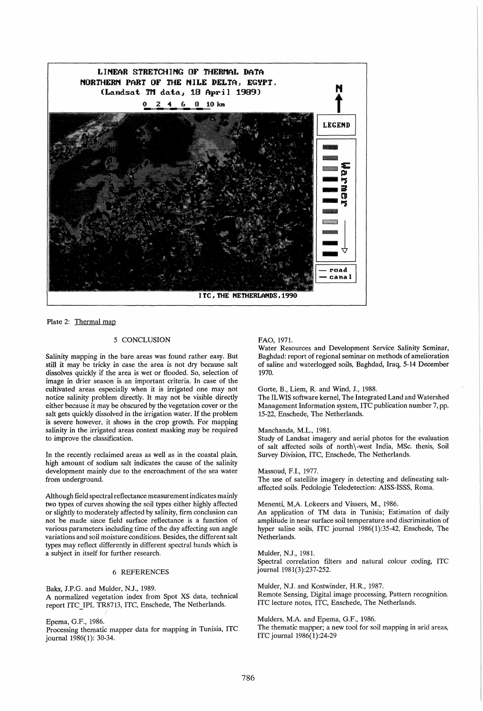

Plate 2: Thermal map

# 5 CONCLUSION

Salinity mapping in the bare areas was found rather easy. But still it may be tricky in case the area is not dry because salt dissolves quickly if the area is wet or flooded. So, selection of image in drier season is an important criteria. In case of the cultivated areas especially when it is irrigated one may not notice salinity problem directly. It may not be visible directly either because it may be obscured by the vegetation cover or the salt gets quickly dissolved in the irrigation water. If the problem is severe however, it shows in the crop growth. For mapping salinity in the irrigated areas context masking may be required to improve the classification.

In the recently reclaimed areas as well as in the coastal plain, high amount of sodium salt indicates the cause of the salinity development mainly due to the encroachment of the sea water from underground.

Although field spectral reflectance measurement indicates mainly two types of curves showing the soil types either highly affected or slightly to moderately affected by salinity, firm conclusion can not be made since field surface reflectance is a function of various parameters including time of the day affecting sun angle variations and soil moisture conditions. Besides, the different salt types may reflect differently in different spectral bands which is a subject in itself for further research.

## 6 REFERENCES

Bakx, J.P.G. and Mulder, N.J., 1989. A normalized vegetation index from Spot XS data, technical report ITC\_IPL TR8713, lTC, Enschede, The Netherlands.

Epema, G.F., 1986.

Processing thematic mapper data for mapping in Tunisia, ITC journal 1986(1): 30-34.

## FAO,1971.

Water Resources and Development Service Salinity Seminar, Baghdad: report of regional seminar on methods of amelioration of saline and waterlogged soils, Baghdad, Iraq, 5-14 December 1970.

Gorte, B., Liem, R. and Wind, J., 1988.

The IL WIS software kernel, The Integrated Land and Watershed Management Information system, ITC publication number 7, pp. 15-22, Enschede, The Netherlands.

Manchanda, M.L., 1981.

Study of Landsat imagery and aerial photos for the evaluation of salt affected soils of north \ -west India, MSc. thesis, Soil Survey Division, ITC, Enschede, The Netherlands.

Massoud, F.I., 1977. The use of satellite imagery in detecting and delineating saltaffected soils. Pedologie Teledetection: AISS-ISSS, Roma.

Menenti, M,A. Lokeers and Vissers, M., 1986.

An application of TM data in Tunisia; Estimation of daily amplitude in near surface soil temperature and discrimination of hyper saline soils, ITC journal 1986(1):35-42, Enschede, The Netherlands.

Mulder, N.J., 1981. Spectral correlation filters and natural colour coding, ITC journal 1981(3):237-252.

Mulder, N.J. and Kostwinder, H.R., 1987. Remote Sensing, Digital image processing, Pattern recognition. ITC lecture notes, lTC, Enschede, The Netherlands.

Mulders, M.A. and Epema, G.F., 1986. The thematic mapper; a new tool for soil mapping in arid areas, ITC journal 1986(1):24-29